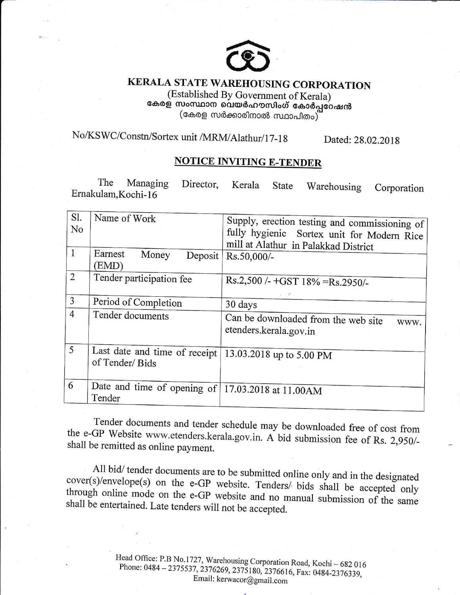

# KERALA STATE WAREHOUSING CORPORATION

(Established By Government of Kerala) കേരള സംസ്ഥാന വെയർഹൗസിംഗ് കോർപ്പറേഷൻ (കേരള സർക്കാരിനാൽ സ്ഥാപിതം)

#### No/KSWC/Constn/Sortex unit /MRM/Alathur/17-18 Dated: 28.02.2018

# **NOTICE INVITING E-TENDER**

The Managing Director. Kerala **State** Warehousing Corporation Ernakulam, Kochi-16

| <b>S1.</b>     | Name of Work                                        |                                               |  |  |
|----------------|-----------------------------------------------------|-----------------------------------------------|--|--|
|                |                                                     | Supply, erection testing and commissioning of |  |  |
| No             |                                                     | fully hygienic Sortex unit for Modern Rice    |  |  |
|                |                                                     | mill at Alathur in Palakkad District          |  |  |
| $\mathbf{1}$   | Earnest<br>Money<br>Deposit                         | $Rs.50,000/-$                                 |  |  |
|                | (EMD)                                               |                                               |  |  |
|                |                                                     |                                               |  |  |
| $\overline{2}$ | Tender participation fee                            | Rs.2,500 /- +GST 18% = Rs.2950/-              |  |  |
|                |                                                     |                                               |  |  |
| $\overline{3}$ | Period of Completion                                |                                               |  |  |
|                |                                                     | 30 days                                       |  |  |
| $\overline{4}$ | Tender documents                                    | Can be downloaded from the web site           |  |  |
|                |                                                     | www.<br>etenders.kerala.gov.in                |  |  |
|                |                                                     |                                               |  |  |
|                |                                                     |                                               |  |  |
| 5              | Last date and time of receipt                       | 13.03.2018 up to 5.00 PM                      |  |  |
|                | of Tender/Bids                                      |                                               |  |  |
|                |                                                     |                                               |  |  |
| 6              |                                                     |                                               |  |  |
|                | Date and time of opening of   17.03.2018 at 11.00AM |                                               |  |  |
|                | Tender                                              |                                               |  |  |
|                |                                                     |                                               |  |  |

Tender documents and tender schedule may be downloaded free of cost from the e-GP Website www.etenders.kerala.gov.in. A bid submission fee of Rs. 2,950/shall be remitted as online payment.

All bid/ tender documents are to be submitted online only and in the designated cover(s)/envelope(s) on the e-GP website. Tenders/ bids shall be accepted only through online mode on the e-GP website and no manual submission of the same shall be entertained. Late tenders will not be accepted.

> Head Office: P.B No.1727, Warehousing Corporation Road, Kochi - 682 016 Phone: 0484 - 2375537, 2376269, 2375180, 2376616, Fax: 0484-2376339, Email: kerwacor@gmail.com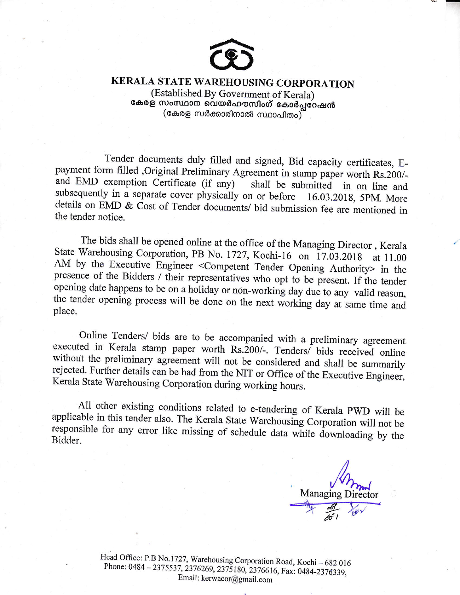

## KERALA STATE WAREHOUSING CORPORATION

(Established By Government of Kerala) കേരള സംസ്ഥാന വെയർഹൗസിംഗ് കോർപ്പറേഷൻ (കേരള സർക്കാരിനാൽ സ്ഥാപിതം)

Tender documents duly filled and signed, Bid capacity certificates, Epayment form filled ,Original Preliminary Agreement in stamp paper worth Rs.200/and EMD exemption Certificate (if any) shall be submitted in on line and subsequently in a separate cover physically on or before 16.03.2018, 5PM. More details on EMD & Cost of Tender documents/ bid submission fee are mentioned in the tender notice.

The bids shall be opened online at the office of the Managing Director, Kerala State Warehousing Corporation, PB No. 1727, Kochi-16 on 17.03.2018 at 11.00 AM by the Executive Engineer <Competent Tender Opening Authority> in the presence of the Bidders / their representatives who opt to be present. If the tender opening date happens to be on a holiday or non-working day due to any valid reason, the tender opening process will be done on the next working day at same time and place.

Online Tenders/ bids are to be accompanied with a preliminary agreement executed in Kerala stamp paper worth Rs.200/-. Tenders/ bids received online without the preliminary agreement will not be considered and shall be summarily rejected. Further details can be had from the NIT or Office of the Executive Engineer, Kerala State Warehousing Corporation during working hours.

All other existing conditions related to e-tendering of Kerala PWD will be applicable in this tender also. The Kerala State Warehousing Corporation will not be responsible for any error like missing of schedule data while downloading by the Bidder.

**Managing Director** 

Head Office: P.B No.1727, Warehousing Corporation Road, Kochi - 682 016 Phone: 0484-2375537, 2376269, 2375180, 2376616, Fax: 0484-2376339, Email: kerwacor@gmail.com